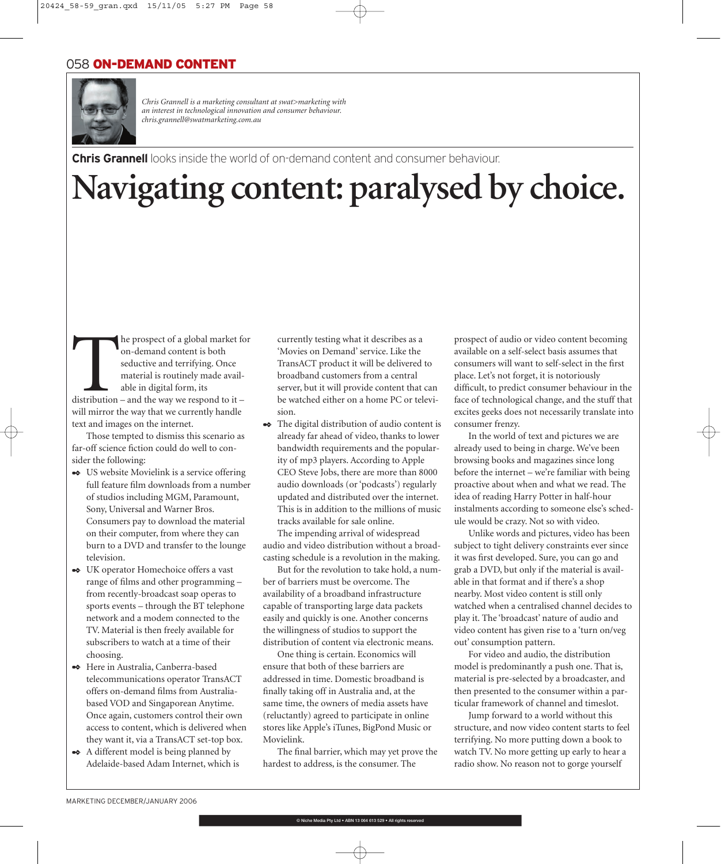

*Chris Grannell is a marketing consultant at swat>marketing with an interest in technological innovation and consumer behaviour. chris.grannell@swatmarketing.com.au*

**Chris Grannell** looks inside the world of on-demand content and consumer behaviour.

## **Navigating content: paralysed by choice.**

The prospect of a global market for<br>
on-demand content is both<br>
seductive and terrifying. Once<br>
material is routinely made avail-<br>
able in digital form, its<br>
distribution – and the way we respond to it – on-demand content is both seductive and terrifying. Once material is routinely made available in digital form, its will mirror the way that we currently handle

text and images on the internet. Those tempted to dismiss this scenario as far-off science fiction could do well to consider the following:

- ✒ US website Movielink is a service offering full feature film downloads from a number of studios including MGM, Paramount, Sony, Universal and Warner Bros. Consumers pay to download the material on their computer, from where they can burn to a DVD and transfer to the lounge television.
- ✒ UK operator Homechoice offers a vast range of films and other programming – from recently-broadcast soap operas to sports events – through the BT telephone network and a modem connected to the TV. Material is then freely available for subscribers to watch at a time of their choosing.
- ✒ Here in Australia, Canberra-based telecommunications operator TransACT offers on-demand films from Australiabased VOD and Singaporean Anytime. Once again, customers control their own access to content, which is delivered when they want it, via a TransACT set-top box.
- ✒ A different model is being planned by Adelaide-based Adam Internet, which is

currently testing what it describes as a 'Movies on Demand' service. Like the TransACT product it will be delivered to broadband customers from a central server, but it will provide content that can be watched either on a home PC or television.

✒ The digital distribution of audio content is already far ahead of video, thanks to lower bandwidth requirements and the popularity of mp3 players. According to Apple CEO Steve Jobs, there are more than 8000 audio downloads (or 'podcasts') regularly updated and distributed over the internet. This is in addition to the millions of music tracks available for sale online.

The impending arrival of widespread audio and video distribution without a broadcasting schedule is a revolution in the making.

But for the revolution to take hold, a number of barriers must be overcome. The availability of a broadband infrastructure capable of transporting large data packets easily and quickly is one. Another concerns the willingness of studios to support the distribution of content via electronic means.

One thing is certain. Economics will ensure that both of these barriers are addressed in time. Domestic broadband is finally taking off in Australia and, at the same time, the owners of media assets have (reluctantly) agreed to participate in online stores like Apple's iTunes, BigPond Music or Movielink.

The final barrier, which may yet prove the hardest to address, is the consumer. The

prospect of audio or video content becoming available on a self-select basis assumes that consumers will want to self-select in the first place. Let's not forget, it is notoriously difficult, to predict consumer behaviour in the face of technological change, and the stuff that excites geeks does not necessarily translate into consumer frenzy.

In the world of text and pictures we are already used to being in charge. We've been browsing books and magazines since long before the internet – we're familiar with being proactive about when and what we read. The idea of reading Harry Potter in half-hour instalments according to someone else's schedule would be crazy. Not so with video.

Unlike words and pictures, video has been subject to tight delivery constraints ever since it was first developed. Sure, you can go and grab a DVD, but only if the material is available in that format and if there's a shop nearby. Most video content is still only watched when a centralised channel decides to play it. The 'broadcast' nature of audio and video content has given rise to a 'turn on/veg out' consumption pattern.

For video and audio, the distribution model is predominantly a push one. That is, material is pre-selected by a broadcaster, and then presented to the consumer within a particular framework of channel and timeslot.

Jump forward to a world without this structure, and now video content starts to feel terrifying. No more putting down a book to watch TV. No more getting up early to hear a radio show. No reason not to gorge yourself